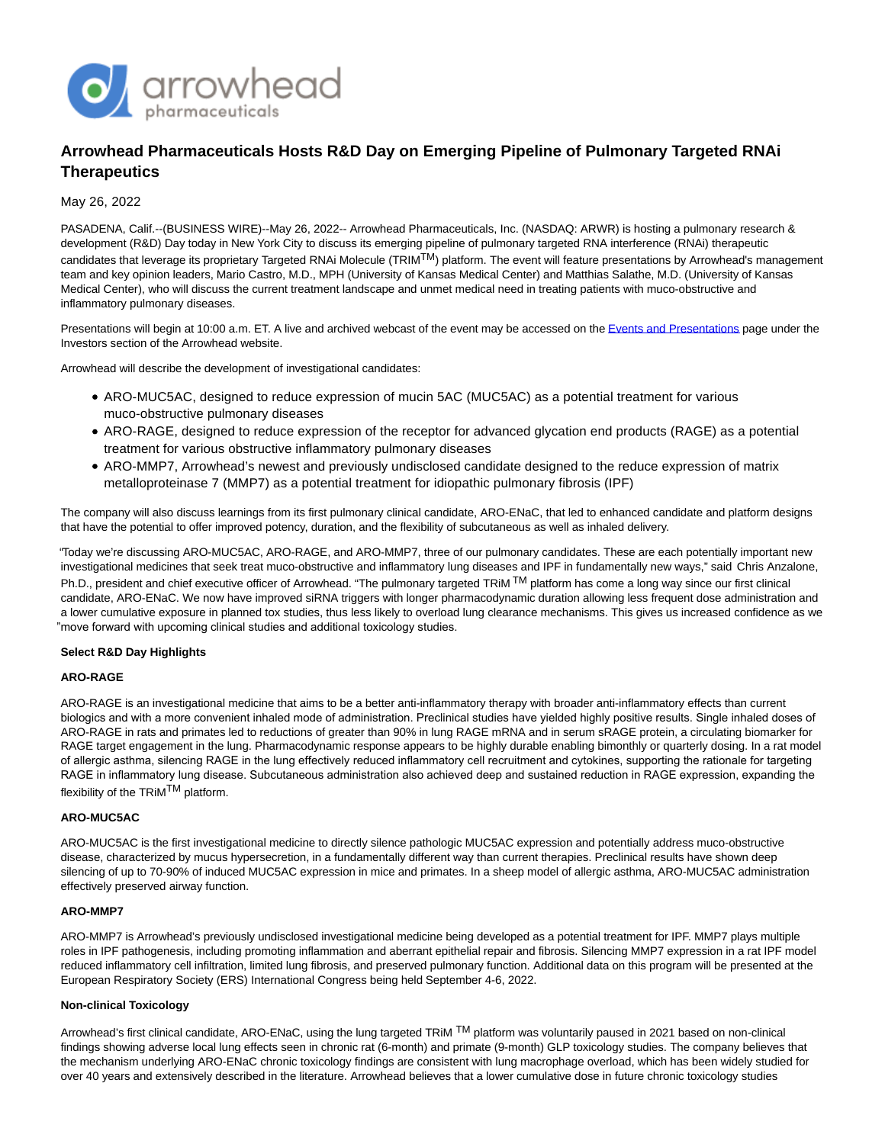

# **Arrowhead Pharmaceuticals Hosts R&D Day on Emerging Pipeline of Pulmonary Targeted RNAi Therapeutics**

May 26, 2022

PASADENA, Calif.--(BUSINESS WIRE)--May 26, 2022-- Arrowhead Pharmaceuticals, Inc. (NASDAQ: ARWR) is hosting a pulmonary research & development (R&D) Day today in New York City to discuss its emerging pipeline of pulmonary targeted RNA interference (RNAi) therapeutic candidates that leverage its proprietary Targeted RNAi Molecule (TRIM<sup>TM</sup>) platform. The event will feature presentations by Arrowhead's management team and key opinion leaders, Mario Castro, M.D., MPH (University of Kansas Medical Center) and Matthias Salathe, M.D. (University of Kansas Medical Center), who will discuss the current treatment landscape and unmet medical need in treating patients with muco-obstructive and inflammatory pulmonary diseases.

Presentations will begin at 10:00 a.m. ET. A live and archived webcast of the event may be accessed on the [Events and Presentations p](https://cts.businesswire.com/ct/CT?id=smartlink&url=http%3A%2F%2Fir.arrowheadpharma.com%2Fevents.cfm&esheet=52731684&newsitemid=20220526005292&lan=en-US&anchor=Events+and+Presentations&index=1&md5=77c9f5a6e793713b90dc1e9d506c0151)age under the Investors section of the Arrowhead website.

Arrowhead will describe the development of investigational candidates:

- ARO-MUC5AC, designed to reduce expression of mucin 5AC (MUC5AC) as a potential treatment for various muco-obstructive pulmonary diseases
- ARO-RAGE, designed to reduce expression of the receptor for advanced glycation end products (RAGE) as a potential treatment for various obstructive inflammatory pulmonary diseases
- ARO-MMP7, Arrowhead's newest and previously undisclosed candidate designed to the reduce expression of matrix metalloproteinase 7 (MMP7) as a potential treatment for idiopathic pulmonary fibrosis (IPF)

The company will also discuss learnings from its first pulmonary clinical candidate, ARO-ENaC, that led to enhanced candidate and platform designs that have the potential to offer improved potency, duration, and the flexibility of subcutaneous as well as inhaled delivery.

"Today we're discussing ARO-MUC5AC, ARO-RAGE, and ARO-MMP7, three of our pulmonary candidates. These are each potentially important new investigational medicines that seek treat muco-obstructive and inflammatory lung diseases and IPF in fundamentally new ways," said Chris Anzalone, Ph.D., president and chief executive officer of Arrowhead. "The pulmonary targeted TRIM TM platform has come a long way since our first clinical candidate, ARO-ENaC. We now have improved siRNA triggers with longer pharmacodynamic duration allowing less frequent dose administration and a lower cumulative exposure in planned tox studies, thus less likely to overload lung clearance mechanisms. This gives us increased confidence as we move forward with upcoming clinical studies and additional toxicology studies."

## **Select R&D Day Highlights**

### **ARO-RAGE**

ARO-RAGE is an investigational medicine that aims to be a better anti-inflammatory therapy with broader anti-inflammatory effects than current biologics and with a more convenient inhaled mode of administration. Preclinical studies have yielded highly positive results. Single inhaled doses of ARO-RAGE in rats and primates led to reductions of greater than 90% in lung RAGE mRNA and in serum sRAGE protein, a circulating biomarker for RAGE target engagement in the lung. Pharmacodynamic response appears to be highly durable enabling bimonthly or quarterly dosing. In a rat model of allergic asthma, silencing RAGE in the lung effectively reduced inflammatory cell recruitment and cytokines, supporting the rationale for targeting RAGE in inflammatory lung disease. Subcutaneous administration also achieved deep and sustained reduction in RAGE expression, expanding the flexibility of the TRiMTM platform.

## **ARO-MUC5AC**

ARO-MUC5AC is the first investigational medicine to directly silence pathologic MUC5AC expression and potentially address muco-obstructive disease, characterized by mucus hypersecretion, in a fundamentally different way than current therapies. Preclinical results have shown deep silencing of up to 70-90% of induced MUC5AC expression in mice and primates. In a sheep model of allergic asthma, ARO-MUC5AC administration effectively preserved airway function.

### **ARO-MMP7**

ARO-MMP7 is Arrowhead's previously undisclosed investigational medicine being developed as a potential treatment for IPF. MMP7 plays multiple roles in IPF pathogenesis, including promoting inflammation and aberrant epithelial repair and fibrosis. Silencing MMP7 expression in a rat IPF model reduced inflammatory cell infiltration, limited lung fibrosis, and preserved pulmonary function. Additional data on this program will be presented at the European Respiratory Society (ERS) International Congress being held September 4-6, 2022.

### **Non-clinical Toxicology**

Arrowhead's first clinical candidate, ARO-ENaC, using the lung targeted TRiM <sup>TM</sup> platform was voluntarily paused in 2021 based on non-clinical findings showing adverse local lung effects seen in chronic rat (6-month) and primate (9-month) GLP toxicology studies. The company believes that the mechanism underlying ARO-ENaC chronic toxicology findings are consistent with lung macrophage overload, which has been widely studied for over 40 years and extensively described in the literature. Arrowhead believes that a lower cumulative dose in future chronic toxicology studies